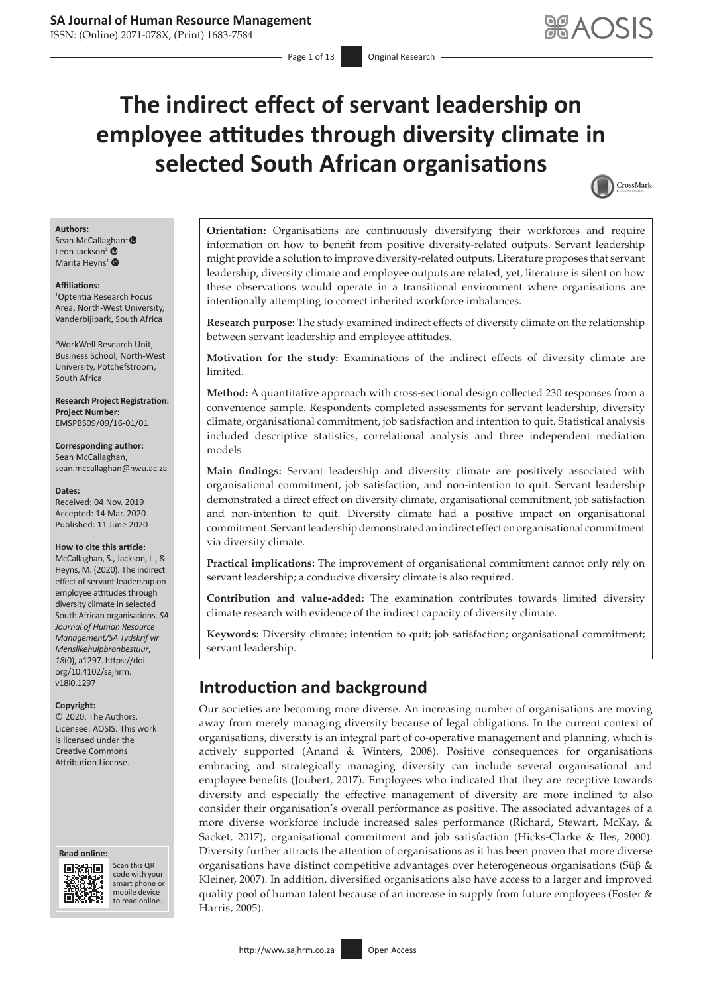ISSN: (Online) 2071-078X, (Print) 1683-7584

# **The indirect effect of servant leadership on employee attitudes through diversity climate in selected South African organisations**



#### **Authors:**

Sean McCallaghan<sup>1</sup><sup>®</sup> Leon Jackson<sup>[2](http://orcid.org/0000-0001-5859-7581)</sup> Marita Heyns<sup>[1](http://orcid.org/0000-0002-8829-9857)</sup>

#### **Affiliations:**

1 Optentia Research Focus Area, North-West University, Vanderbijlpark, South Africa

2 WorkWell Research Unit, Business School, North-West University, Potchefstroom, South Africa

**Research Project Registration: Project Number:**  EMSPBS09/09/16-01/01

#### **Corresponding author:** Sean McCallaghan, [sean.mccallaghan@nwu.ac.za](mailto:sean.mccallaghan@nwu.ac.za)

#### **Dates:**

Received: 04 Nov. 2019 Accepted: 14 Mar. 2020 Published: 11 June 2020

#### **How to cite this article:**

McCallaghan, S., Jackson, L., & Heyns, M. (2020). The indirect effect of servant leadership on employee attitudes through diversity climate in selected South African organisations. *SA Journal of Human Resource Management/SA Tydskrif vir Menslikehulpbronbestuur*, *18*(0), a1297. [https://doi.](https://doi.org/10.4102/sajhrm.v18i0.1297) [org/10.4102/sajhrm.](https://doi.org/10.4102/sajhrm.v18i0.1297) [v18i0.1297](https://doi.org/10.4102/sajhrm.v18i0.1297)

#### **Copyright:**

© 2020. The Authors. Licensee: AOSIS. This work is licensed under the Creative Commons Attribution License.





Scan this QR code with your Scan this QR<br>code with your<br>smart phone or<br>mobile device mobile device to read online. to read online.

**Orientation:** Organisations are continuously diversifying their workforces and require information on how to benefit from positive diversity-related outputs. Servant leadership might provide a solution to improve diversity-related outputs. Literature proposes that servant leadership, diversity climate and employee outputs are related; yet, literature is silent on how these observations would operate in a transitional environment where organisations are intentionally attempting to correct inherited workforce imbalances.

**Research purpose:** The study examined indirect effects of diversity climate on the relationship between servant leadership and employee attitudes.

**Motivation for the study:** Examinations of the indirect effects of diversity climate are limited.

**Method:** A quantitative approach with cross-sectional design collected 230 responses from a convenience sample. Respondents completed assessments for servant leadership, diversity climate, organisational commitment, job satisfaction and intention to quit. Statistical analysis included descriptive statistics, correlational analysis and three independent mediation models.

**Main findings:** Servant leadership and diversity climate are positively associated with organisational commitment, job satisfaction, and non-intention to quit. Servant leadership demonstrated a direct effect on diversity climate, organisational commitment, job satisfaction and non-intention to quit. Diversity climate had a positive impact on organisational commitment. Servant leadership demonstrated an indirect effect on organisational commitment via diversity climate.

**Practical implications:** The improvement of organisational commitment cannot only rely on servant leadership; a conducive diversity climate is also required.

**Contribution and value-added:** The examination contributes towards limited diversity climate research with evidence of the indirect capacity of diversity climate.

**Keywords:** Diversity climate; intention to quit; job satisfaction; organisational commitment; servant leadership.

# **Introduction and background**

Our societies are becoming more diverse. An increasing number of organisations are moving away from merely managing diversity because of legal obligations. In the current context of organisations, diversity is an integral part of co-operative management and planning, which is actively supported (Anand & Winters, 2008). Positive consequences for organisations embracing and strategically managing diversity can include several organisational and employee benefits (Joubert, 2017). Employees who indicated that they are receptive towards diversity and especially the effective management of diversity are more inclined to also consider their organisation's overall performance as positive. The associated advantages of a more diverse workforce include increased sales performance (Richard, Stewart, McKay, & Sacket, 2017), organisational commitment and job satisfaction (Hicks-Clarke & Iles, 2000). Diversity further attracts the attention of organisations as it has been proven that more diverse organisations have distinct competitive advantages over heterogeneous organisations (Süβ & Kleiner, 2007). In addition, diversified organisations also have access to a larger and improved quality pool of human talent because of an increase in supply from future employees (Foster & Harris, 2005).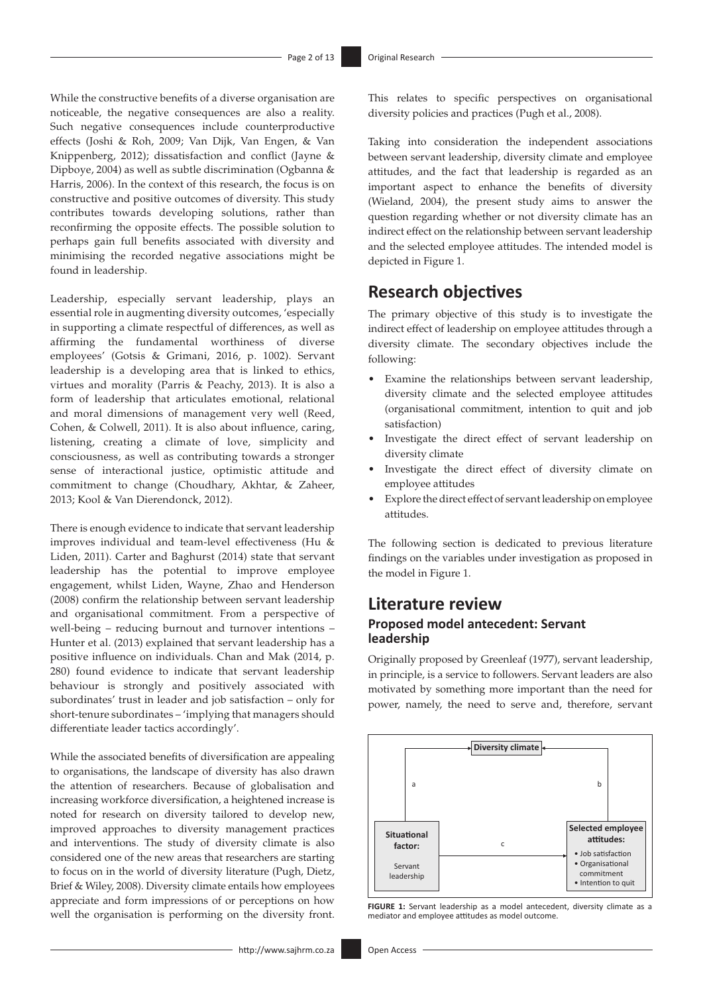While the constructive benefits of a diverse organisation are noticeable, the negative consequences are also a reality. Such negative consequences include counterproductive effects (Joshi & Roh, 2009; Van Dijk, Van Engen, & Van Knippenberg, 2012); dissatisfaction and conflict (Jayne & Dipboye, 2004) as well as subtle discrimination (Ogbanna & Harris, 2006). In the context of this research, the focus is on constructive and positive outcomes of diversity. This study contributes towards developing solutions, rather than reconfirming the opposite effects. The possible solution to perhaps gain full benefits associated with diversity and minimising the recorded negative associations might be found in leadership.

Leadership, especially servant leadership, plays an essential role in augmenting diversity outcomes, 'especially in supporting a climate respectful of differences, as well as affirming the fundamental worthiness of diverse employees' (Gotsis & Grimani, 2016, p. 1002). Servant leadership is a developing area that is linked to ethics, virtues and morality (Parris & Peachy, 2013). It is also a form of leadership that articulates emotional, relational and moral dimensions of management very well (Reed, Cohen, & Colwell, 2011). It is also about influence, caring, listening, creating a climate of love, simplicity and consciousness, as well as contributing towards a stronger sense of interactional justice, optimistic attitude and commitment to change (Choudhary, Akhtar, & Zaheer, 2013; Kool & Van Dierendonck, 2012).

There is enough evidence to indicate that servant leadership improves individual and team-level effectiveness (Hu & Liden, 2011). Carter and Baghurst (2014) state that servant leadership has the potential to improve employee engagement, whilst Liden, Wayne, Zhao and Henderson (2008) confirm the relationship between servant leadership and organisational commitment. From a perspective of well-being – reducing burnout and turnover intentions – Hunter et al. (2013) explained that servant leadership has a positive influence on individuals. Chan and Mak (2014, p. 280) found evidence to indicate that servant leadership behaviour is strongly and positively associated with subordinates' trust in leader and job satisfaction – only for short-tenure subordinates – 'implying that managers should differentiate leader tactics accordingly'.

While the associated benefits of diversification are appealing to organisations, the landscape of diversity has also drawn the attention of researchers. Because of globalisation and increasing workforce diversification, a heightened increase is noted for research on diversity tailored to develop new, improved approaches to diversity management practices and interventions. The study of diversity climate is also considered one of the new areas that researchers are starting to focus on in the world of diversity literature (Pugh, Dietz, Brief & Wiley, 2008). Diversity climate entails how employees appreciate and form impressions of or perceptions on how well the organisation is performing on the diversity front.

This relates to specific perspectives on organisational diversity policies and practices (Pugh et al., 2008).

Taking into consideration the independent associations between servant leadership, diversity climate and employee attitudes, and the fact that leadership is regarded as an important aspect to enhance the benefits of diversity (Wieland, 2004), the present study aims to answer the question regarding whether or not diversity climate has an indirect effect on the relationship between servant leadership and the selected employee attitudes. The intended model is depicted in Figure 1.

# **Research objectives**

The primary objective of this study is to investigate the indirect effect of leadership on employee attitudes through a diversity climate. The secondary objectives include the following:

- Examine the relationships between servant leadership, diversity climate and the selected employee attitudes (organisational commitment, intention to quit and job satisfaction)
- Investigate the direct effect of servant leadership on diversity climate
- Investigate the direct effect of diversity climate on employee attitudes
- Explore the direct effect of servant leadership on employee attitudes.

The following section is dedicated to previous literature findings on the variables under investigation as proposed in the model in Figure 1.

### **Literature review Proposed model antecedent: Servant leadership**

Originally proposed by Greenleaf (1977), servant leadership, in principle, is a service to followers. Servant leaders are also motivated by something more important than the need for power, namely, the need to serve and, therefore, servant



**FIGURE 1:** Servant leadership as a model antecedent, diversity climate as a mediator and employee attitudes as model outcome.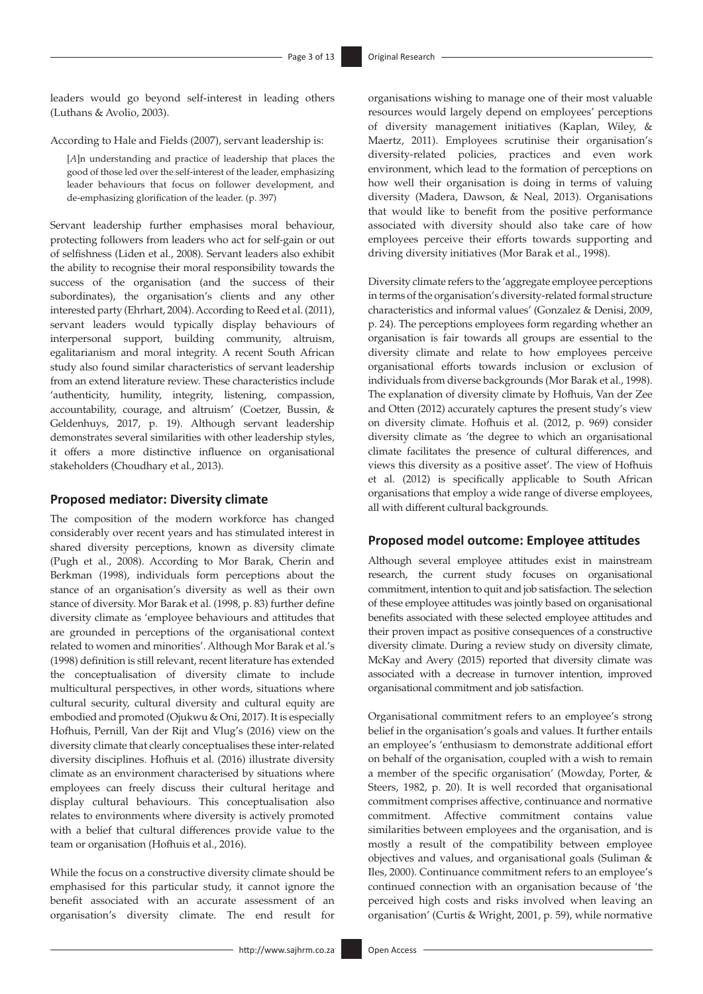leaders would go beyond self-interest in leading others (Luthans & Avolio, 2003).

According to Hale and Fields (2007), servant leadership is:

[*A*]n understanding and practice of leadership that places the good of those led over the self-interest of the leader, emphasizing leader behaviours that focus on follower development, and de-emphasizing glorification of the leader. (p. 397)

Servant leadership further emphasises moral behaviour, protecting followers from leaders who act for self-gain or out of selfishness (Liden et al., 2008). Servant leaders also exhibit the ability to recognise their moral responsibility towards the success of the organisation (and the success of their subordinates), the organisation's clients and any other interested party (Ehrhart, 2004). According to Reed et al. (2011), servant leaders would typically display behaviours of interpersonal support, building community, altruism, egalitarianism and moral integrity. A recent South African study also found similar characteristics of servant leadership from an extend literature review. These characteristics include 'authenticity, humility, integrity, listening, compassion, accountability, courage, and altruism' (Coetzer, Bussin, & Geldenhuys, 2017, p. 19). Although servant leadership demonstrates several similarities with other leadership styles, it offers a more distinctive influence on organisational stakeholders (Choudhary et al., 2013).

#### **Proposed mediator: Diversity climate**

The composition of the modern workforce has changed considerably over recent years and has stimulated interest in shared diversity perceptions, known as diversity climate (Pugh et al., 2008). According to Mor Barak, Cherin and Berkman (1998), individuals form perceptions about the stance of an organisation's diversity as well as their own stance of diversity. Mor Barak et al. (1998, p. 83) further define diversity climate as 'employee behaviours and attitudes that are grounded in perceptions of the organisational context related to women and minorities'. Although Mor Barak et al.'s (1998) definition is still relevant, recent literature has extended the conceptualisation of diversity climate to include multicultural perspectives, in other words, situations where cultural security, cultural diversity and cultural equity are embodied and promoted (Ojukwu & Oni, 2017). It is especially Hofhuis, Pernill, Van der Rijt and Vlug's (2016) view on the diversity climate that clearly conceptualises these inter-related diversity disciplines. Hofhuis et al. (2016) illustrate diversity climate as an environment characterised by situations where employees can freely discuss their cultural heritage and display cultural behaviours. This conceptualisation also relates to environments where diversity is actively promoted with a belief that cultural differences provide value to the team or organisation (Hofhuis et al., 2016).

While the focus on a constructive diversity climate should be emphasised for this particular study, it cannot ignore the benefit associated with an accurate assessment of an organisation's diversity climate. The end result for

organisations wishing to manage one of their most valuable resources would largely depend on employees' perceptions of diversity management initiatives (Kaplan, Wiley, & Maertz, 2011). Employees scrutinise their organisation's diversity-related policies, practices and even work environment, which lead to the formation of perceptions on how well their organisation is doing in terms of valuing diversity (Madera, Dawson, & Neal, 2013). Organisations that would like to benefit from the positive performance associated with diversity should also take care of how employees perceive their efforts towards supporting and driving diversity initiatives (Mor Barak et al., 1998).

Diversity climate refers to the 'aggregate employee perceptions in terms of the organisation's diversity-related formal structure characteristics and informal values' (Gonzalez & Denisi, 2009, p. 24). The perceptions employees form regarding whether an organisation is fair towards all groups are essential to the diversity climate and relate to how employees perceive organisational efforts towards inclusion or exclusion of individuals from diverse backgrounds (Mor Barak et al., 1998). The explanation of diversity climate by Hofhuis, Van der Zee and Otten (2012) accurately captures the present study's view on diversity climate. Hofhuis et al. (2012, p. 969) consider diversity climate as 'the degree to which an organisational climate facilitates the presence of cultural differences, and views this diversity as a positive asset'. The view of Hofhuis et al. (2012) is specifically applicable to South African organisations that employ a wide range of diverse employees, all with different cultural backgrounds.

#### **Proposed model outcome: Employee attitudes**

Although several employee attitudes exist in mainstream research, the current study focuses on organisational commitment, intention to quit and job satisfaction. The selection of these employee attitudes was jointly based on organisational benefits associated with these selected employee attitudes and their proven impact as positive consequences of a constructive diversity climate. During a review study on diversity climate, McKay and Avery (2015) reported that diversity climate was associated with a decrease in turnover intention, improved organisational commitment and job satisfaction.

Organisational commitment refers to an employee's strong belief in the organisation's goals and values. It further entails an employee's 'enthusiasm to demonstrate additional effort on behalf of the organisation, coupled with a wish to remain a member of the specific organisation' (Mowday, Porter, & Steers, 1982, p. 20). It is well recorded that organisational commitment comprises affective, continuance and normative commitment. Affective commitment contains value similarities between employees and the organisation, and is mostly a result of the compatibility between employee objectives and values, and organisational goals (Suliman & Iles, 2000). Continuance commitment refers to an employee's continued connection with an organisation because of 'the perceived high costs and risks involved when leaving an organisation' (Curtis & Wright, 2001, p. 59), while normative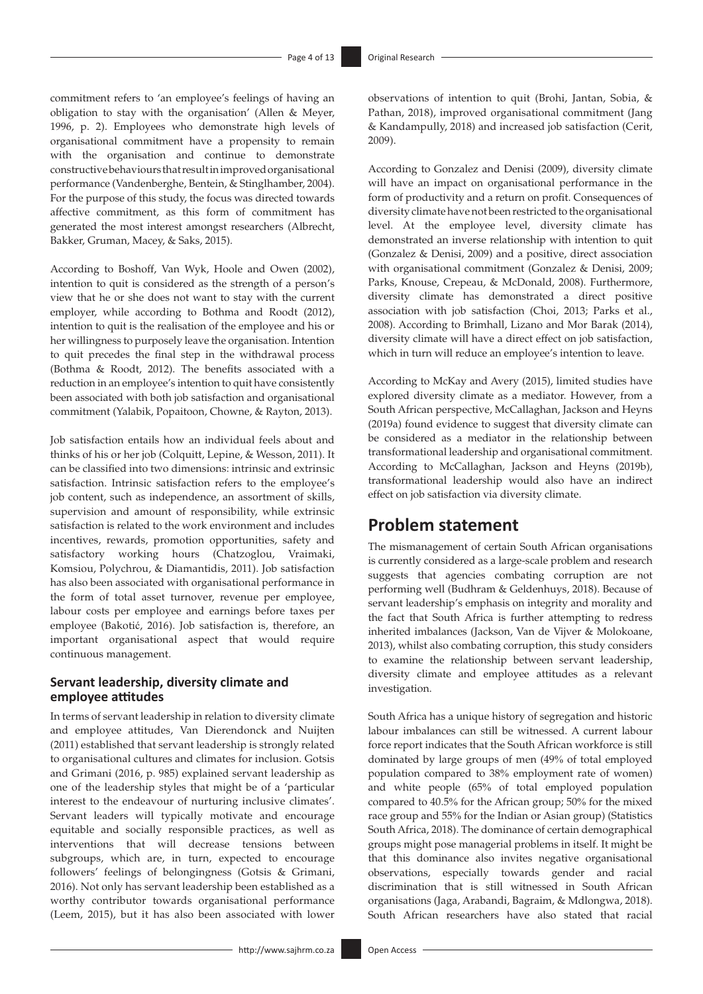commitment refers to 'an employee's feelings of having an obligation to stay with the organisation' (Allen & Meyer, 1996, p. 2). Employees who demonstrate high levels of organisational commitment have a propensity to remain with the organisation and continue to demonstrate constructive behaviours that result in improved organisational performance (Vandenberghe, Bentein, & Stinglhamber, 2004). For the purpose of this study, the focus was directed towards affective commitment, as this form of commitment has generated the most interest amongst researchers (Albrecht, Bakker, Gruman, Macey, & Saks, 2015).

According to Boshoff, Van Wyk, Hoole and Owen (2002), intention to quit is considered as the strength of a person's view that he or she does not want to stay with the current employer, while according to Bothma and Roodt (2012), intention to quit is the realisation of the employee and his or her willingness to purposely leave the organisation. Intention to quit precedes the final step in the withdrawal process (Bothma & Roodt, 2012). The benefits associated with a reduction in an employee's intention to quit have consistently been associated with both job satisfaction and organisational commitment (Yalabik, Popaitoon, Chowne, & Rayton, 2013).

Job satisfaction entails how an individual feels about and thinks of his or her job (Colquitt, Lepine, & Wesson, 2011). It can be classified into two dimensions: intrinsic and extrinsic satisfaction. Intrinsic satisfaction refers to the employee's job content, such as independence, an assortment of skills, supervision and amount of responsibility, while extrinsic satisfaction is related to the work environment and includes incentives, rewards, promotion opportunities, safety and satisfactory working hours (Chatzoglou, Vraimaki, Komsiou, Polychrou, & Diamantidis, 2011). Job satisfaction has also been associated with organisational performance in the form of total asset turnover, revenue per employee, labour costs per employee and earnings before taxes per employee (Bakotić, 2016). Job satisfaction is, therefore, an important organisational aspect that would require continuous management.

#### **Servant leadership, diversity climate and employee attitudes**

In terms of servant leadership in relation to diversity climate and employee attitudes, Van Dierendonck and Nuijten (2011) established that servant leadership is strongly related to organisational cultures and climates for inclusion. Gotsis and Grimani (2016, p. 985) explained servant leadership as one of the leadership styles that might be of a 'particular interest to the endeavour of nurturing inclusive climates'. Servant leaders will typically motivate and encourage equitable and socially responsible practices, as well as interventions that will decrease tensions between subgroups, which are, in turn, expected to encourage followers' feelings of belongingness (Gotsis & Grimani, 2016). Not only has servant leadership been established as a worthy contributor towards organisational performance (Leem, 2015), but it has also been associated with lower

observations of intention to quit (Brohi, Jantan, Sobia, & Pathan, 2018), improved organisational commitment (Jang & Kandampully, 2018) and increased job satisfaction (Cerit, 2009).

According to Gonzalez and Denisi (2009), diversity climate will have an impact on organisational performance in the form of productivity and a return on profit. Consequences of diversity climate have not been restricted to the organisational level. At the employee level, diversity climate has demonstrated an inverse relationship with intention to quit (Gonzalez & Denisi, 2009) and a positive, direct association with organisational commitment (Gonzalez & Denisi, 2009; Parks, Knouse, Crepeau, & McDonald, 2008). Furthermore, diversity climate has demonstrated a direct positive association with job satisfaction (Choi, 2013; Parks et al., 2008). According to Brimhall, Lizano and Mor Barak (2014), diversity climate will have a direct effect on job satisfaction, which in turn will reduce an employee's intention to leave.

According to McKay and Avery (2015), limited studies have explored diversity climate as a mediator. However, from a South African perspective, McCallaghan, Jackson and Heyns (2019a) found evidence to suggest that diversity climate can be considered as a mediator in the relationship between transformational leadership and organisational commitment. According to McCallaghan, Jackson and Heyns (2019b), transformational leadership would also have an indirect effect on job satisfaction via diversity climate.

# **Problem statement**

The mismanagement of certain South African organisations is currently considered as a large-scale problem and research suggests that agencies combating corruption are not performing well (Budhram & Geldenhuys, 2018). Because of servant leadership's emphasis on integrity and morality and the fact that South Africa is further attempting to redress inherited imbalances (Jackson, Van de Vijver & Molokoane, 2013), whilst also combating corruption, this study considers to examine the relationship between servant leadership, diversity climate and employee attitudes as a relevant investigation.

South Africa has a unique history of segregation and historic labour imbalances can still be witnessed. A current labour force report indicates that the South African workforce is still dominated by large groups of men (49% of total employed population compared to 38% employment rate of women) and white people (65% of total employed population compared to 40.5% for the African group; 50% for the mixed race group and 55% for the Indian or Asian group) (Statistics South Africa, 2018). The dominance of certain demographical groups might pose managerial problems in itself. It might be that this dominance also invites negative organisational observations, especially towards gender and racial discrimination that is still witnessed in South African organisations (Jaga, Arabandi, Bagraim, & Mdlongwa, 2018). South African researchers have also stated that racial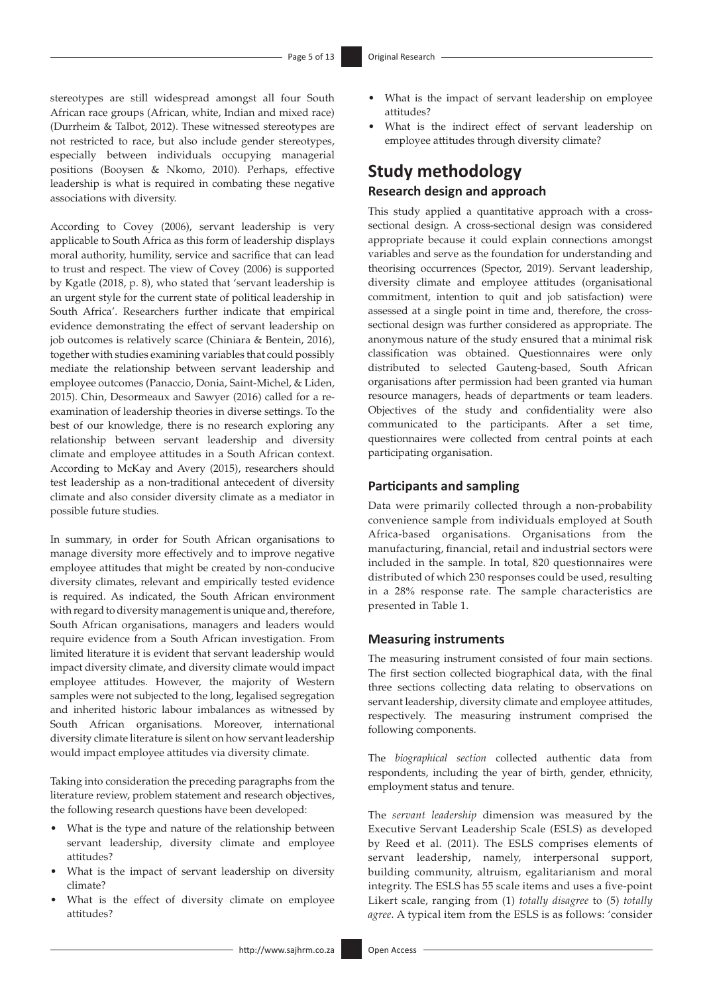stereotypes are still widespread amongst all four South African race groups (African, white, Indian and mixed race) (Durrheim & Talbot, 2012). These witnessed stereotypes are not restricted to race, but also include gender stereotypes, especially between individuals occupying managerial positions (Booysen & Nkomo, 2010). Perhaps, effective leadership is what is required in combating these negative associations with diversity.

According to Covey (2006), servant leadership is very applicable to South Africa as this form of leadership displays moral authority, humility, service and sacrifice that can lead to trust and respect. The view of Covey (2006) is supported by Kgatle (2018, p. 8), who stated that 'servant leadership is an urgent style for the current state of political leadership in South Africa'. Researchers further indicate that empirical evidence demonstrating the effect of servant leadership on job outcomes is relatively scarce (Chiniara & Bentein, 2016), together with studies examining variables that could possibly mediate the relationship between servant leadership and employee outcomes (Panaccio, Donia, Saint-Michel, & Liden, 2015). Chin, Desormeaux and Sawyer (2016) called for a reexamination of leadership theories in diverse settings. To the best of our knowledge, there is no research exploring any relationship between servant leadership and diversity climate and employee attitudes in a South African context. According to McKay and Avery (2015), researchers should test leadership as a non-traditional antecedent of diversity climate and also consider diversity climate as a mediator in possible future studies.

In summary, in order for South African organisations to manage diversity more effectively and to improve negative employee attitudes that might be created by non-conducive diversity climates, relevant and empirically tested evidence is required. As indicated, the South African environment with regard to diversity management is unique and, therefore, South African organisations, managers and leaders would require evidence from a South African investigation. From limited literature it is evident that servant leadership would impact diversity climate, and diversity climate would impact employee attitudes. However, the majority of Western samples were not subjected to the long, legalised segregation and inherited historic labour imbalances as witnessed by South African organisations. Moreover, international diversity climate literature is silent on how servant leadership would impact employee attitudes via diversity climate.

Taking into consideration the preceding paragraphs from the literature review, problem statement and research objectives, the following research questions have been developed:

- What is the type and nature of the relationship between servant leadership, diversity climate and employee attitudes?
- What is the impact of servant leadership on diversity climate?
- What is the effect of diversity climate on employee attitudes?
- What is the impact of servant leadership on employee attitudes?
- What is the indirect effect of servant leadership on employee attitudes through diversity climate?

# **Study methodology**

#### **Research design and approach**

This study applied a quantitative approach with a crosssectional design. A cross-sectional design was considered appropriate because it could explain connections amongst variables and serve as the foundation for understanding and theorising occurrences (Spector, 2019). Servant leadership, diversity climate and employee attitudes (organisational commitment, intention to quit and job satisfaction) were assessed at a single point in time and, therefore, the crosssectional design was further considered as appropriate. The anonymous nature of the study ensured that a minimal risk classification was obtained. Questionnaires were only distributed to selected Gauteng-based, South African organisations after permission had been granted via human resource managers, heads of departments or team leaders. Objectives of the study and confidentiality were also communicated to the participants. After a set time, questionnaires were collected from central points at each participating organisation.

#### **Participants and sampling**

Data were primarily collected through a non-probability convenience sample from individuals employed at South Africa-based organisations. Organisations from the manufacturing, financial, retail and industrial sectors were included in the sample. In total, 820 questionnaires were distributed of which 230 responses could be used, resulting in a 28% response rate. The sample characteristics are presented in Table 1.

#### **Measuring instruments**

The measuring instrument consisted of four main sections. The first section collected biographical data, with the final three sections collecting data relating to observations on servant leadership, diversity climate and employee attitudes, respectively. The measuring instrument comprised the following components.

The *biographical section* collected authentic data from respondents, including the year of birth, gender, ethnicity, employment status and tenure.

The *servant leadership* dimension was measured by the Executive Servant Leadership Scale (ESLS) as developed by Reed et al. (2011). The ESLS comprises elements of servant leadership, namely, interpersonal support, building community, altruism, egalitarianism and moral integrity. The ESLS has 55 scale items and uses a five-point Likert scale, ranging from (1) *totally disagree* to (5) *totally agree*. A typical item from the ESLS is as follows: 'consider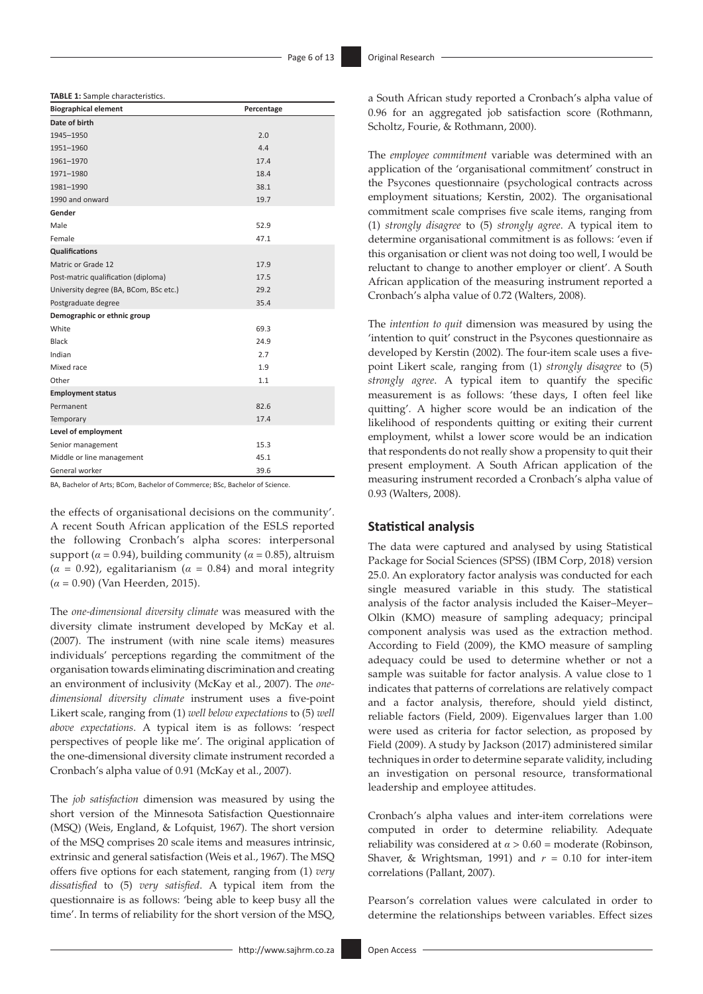|  | TABLE 1: Sample characteristics. |
|--|----------------------------------|
|--|----------------------------------|

| <b>Biographical element</b>            | Percentage |
|----------------------------------------|------------|
| Date of birth                          |            |
| 1945-1950                              | 2.0        |
| 1951-1960                              | 4.4        |
| 1961-1970                              | 17.4       |
| 1971-1980                              | 18.4       |
| 1981-1990                              | 38.1       |
| 1990 and onward                        | 19.7       |
| Gender                                 |            |
| Male                                   | 52.9       |
| Female                                 | 47.1       |
| <b>Qualifications</b>                  |            |
| Matric or Grade 12                     | 17.9       |
| Post-matric qualification (diploma)    | 17.5       |
| University degree (BA, BCom, BSc etc.) | 29.2       |
| Postgraduate degree                    | 35.4       |
| Demographic or ethnic group            |            |
| White                                  | 69.3       |
| Black                                  | 24.9       |
| Indian                                 | 2.7        |
| Mixed race                             | 1.9        |
| Other                                  | 1.1        |
| <b>Employment status</b>               |            |
| Permanent                              | 82.6       |
| Temporary                              | 17.4       |
| Level of employment                    |            |
| Senior management                      | 15.3       |
| Middle or line management              | 45.1       |
| General worker                         | 39.6       |

BA, Bachelor of Arts; BCom, Bachelor of Commerce; BSc, Bachelor of Science.

the effects of organisational decisions on the community'. A recent South African application of the ESLS reported the following Cronbach's alpha scores: interpersonal support ( $\alpha$  = 0.94), building community ( $\alpha$  = 0.85), altruism  $(a = 0.92)$ , egalitarianism  $(a = 0.84)$  and moral integrity (*α* = 0.90) (Van Heerden, 2015).

The *one-dimensional diversity climate* was measured with the diversity climate instrument developed by McKay et al. (2007). The instrument (with nine scale items) measures individuals' perceptions regarding the commitment of the organisation towards eliminating discrimination and creating an environment of inclusivity (McKay et al., 2007). The *onedimensional diversity climate* instrument uses a five-point Likert scale, ranging from (1) *well below expectations* to (5) *well above expectations*. A typical item is as follows: 'respect perspectives of people like me'. The original application of the one-dimensional diversity climate instrument recorded a Cronbach's alpha value of 0.91 (McKay et al., 2007).

The *job satisfaction* dimension was measured by using the short version of the Minnesota Satisfaction Questionnaire (MSQ) (Weis, England, & Lofquist, 1967). The short version of the MSQ comprises 20 scale items and measures intrinsic, extrinsic and general satisfaction (Weis et al., 1967). The MSQ offers five options for each statement, ranging from (1) *very dissatisfied* to (5) *very satisfied*. A typical item from the questionnaire is as follows: 'being able to keep busy all the time'. In terms of reliability for the short version of the MSQ,

The *employee commitment* variable was determined with an application of the 'organisational commitment' construct in the Psycones questionnaire (psychological contracts across employment situations; Kerstin, 2002). The organisational commitment scale comprises five scale items, ranging from (1) *strongly disagree* to (5) *strongly agree*. A typical item to determine organisational commitment is as follows: 'even if this organisation or client was not doing too well, I would be reluctant to change to another employer or client'. A South African application of the measuring instrument reported a Cronbach's alpha value of 0.72 (Walters, 2008).

The *intention to quit* dimension was measured by using the 'intention to quit' construct in the Psycones questionnaire as developed by Kerstin (2002). The four-item scale uses a fivepoint Likert scale, ranging from (1) *strongly disagree* to (5) *strongly agree*. A typical item to quantify the specific measurement is as follows: 'these days, I often feel like quitting'. A higher score would be an indication of the likelihood of respondents quitting or exiting their current employment, whilst a lower score would be an indication that respondents do not really show a propensity to quit their present employment. A South African application of the measuring instrument recorded a Cronbach's alpha value of 0.93 (Walters, 2008).

#### **Statistical analysis**

The data were captured and analysed by using Statistical Package for Social Sciences (SPSS) (IBM Corp, 2018) version 25.0. An exploratory factor analysis was conducted for each single measured variable in this study. The statistical analysis of the factor analysis included the Kaiser–Meyer– Olkin (KMO) measure of sampling adequacy; principal component analysis was used as the extraction method. According to Field (2009), the KMO measure of sampling adequacy could be used to determine whether or not a sample was suitable for factor analysis. A value close to 1 indicates that patterns of correlations are relatively compact and a factor analysis, therefore, should yield distinct, reliable factors (Field, 2009). Eigenvalues larger than 1.00 were used as criteria for factor selection, as proposed by Field (2009). A study by Jackson (2017) administered similar techniques in order to determine separate validity, including an investigation on personal resource, transformational leadership and employee attitudes.

Cronbach's alpha values and inter-item correlations were computed in order to determine reliability. Adequate reliability was considered at *α* > 0.60 = moderate (Robinson, Shaver, & Wrightsman, 1991) and *r* = 0.10 for inter-item correlations (Pallant, 2007).

Pearson's correlation values were calculated in order to determine the relationships between variables. Effect sizes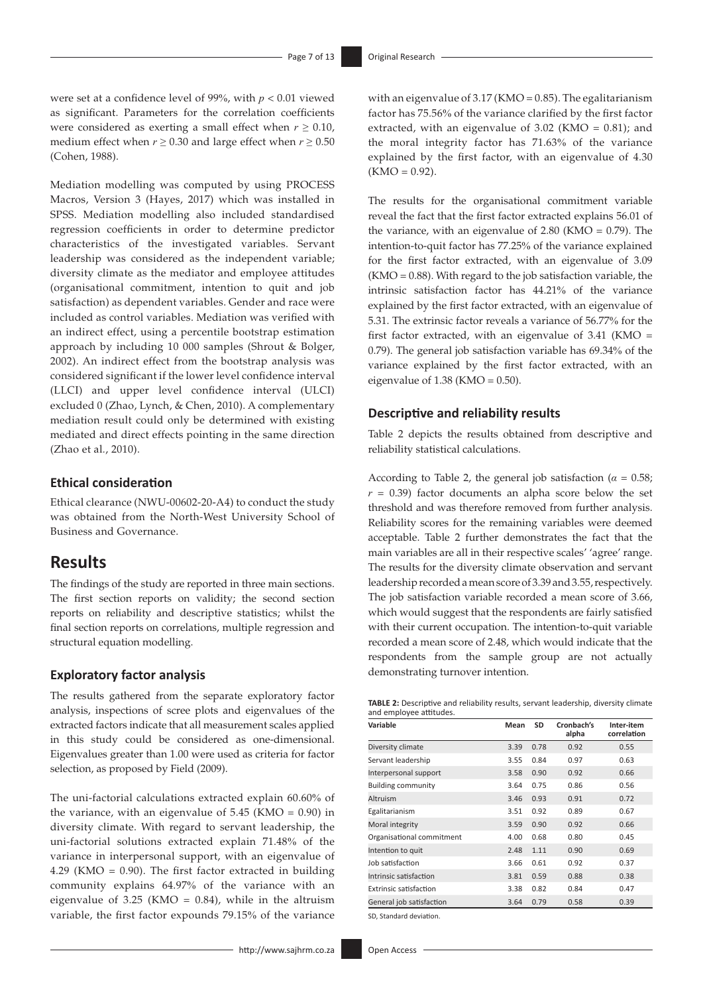were set at a confidence level of 99%, with *p* < 0.01 viewed as significant. Parameters for the correlation coefficients were considered as exerting a small effect when  $r \geq 0.10$ , medium effect when  $r \geq 0.30$  and large effect when  $r \geq 0.50$ (Cohen, 1988).

Mediation modelling was computed by using PROCESS Macros, Version 3 (Hayes, 2017) which was installed in SPSS. Mediation modelling also included standardised regression coefficients in order to determine predictor characteristics of the investigated variables. Servant leadership was considered as the independent variable; diversity climate as the mediator and employee attitudes (organisational commitment, intention to quit and job satisfaction) as dependent variables. Gender and race were included as control variables. Mediation was verified with an indirect effect, using a percentile bootstrap estimation approach by including 10 000 samples (Shrout & Bolger, 2002). An indirect effect from the bootstrap analysis was considered significant if the lower level confidence interval (LLCI) and upper level confidence interval (ULCI) excluded 0 (Zhao, Lynch, & Chen, 2010). A complementary mediation result could only be determined with existing mediated and direct effects pointing in the same direction (Zhao et al*.*, 2010).

#### **Ethical consideration**

Ethical clearance (NWU-00602-20-A4) to conduct the study was obtained from the North-West University School of Business and Governance.

### **Results**

The findings of the study are reported in three main sections. The first section reports on validity; the second section reports on reliability and descriptive statistics; whilst the final section reports on correlations, multiple regression and structural equation modelling.

#### **Exploratory factor analysis**

The results gathered from the separate exploratory factor analysis, inspections of scree plots and eigenvalues of the extracted factors indicate that all measurement scales applied in this study could be considered as one-dimensional. Eigenvalues greater than 1.00 were used as criteria for factor selection, as proposed by Field (2009).

The uni-factorial calculations extracted explain 60.60% of the variance, with an eigenvalue of  $5.45$  (KMO = 0.90) in diversity climate. With regard to servant leadership, the uni-factorial solutions extracted explain 71.48% of the variance in interpersonal support, with an eigenvalue of 4.29 (KMO = 0.90). The first factor extracted in building community explains 64.97% of the variance with an eigenvalue of 3.25 (KMO =  $0.84$ ), while in the altruism variable, the first factor expounds 79.15% of the variance

- <http://www.sajhrm.co.za> Open Access

with an eigenvalue of  $3.17$  (KMO =  $0.85$ ). The egalitarianism factor has 75.56% of the variance clarified by the first factor extracted, with an eigenvalue of 3.02 (KMO = 0.81); and the moral integrity factor has 71.63% of the variance explained by the first factor, with an eigenvalue of 4.30  $(KMO = 0.92)$ .

The results for the organisational commitment variable reveal the fact that the first factor extracted explains 56.01 of the variance, with an eigenvalue of 2.80 (KMO = 0.79). The intention-to-quit factor has 77.25% of the variance explained for the first factor extracted, with an eigenvalue of 3.09  $(KMO = 0.88)$ . With regard to the job satisfaction variable, the intrinsic satisfaction factor has 44.21% of the variance explained by the first factor extracted, with an eigenvalue of 5.31. The extrinsic factor reveals a variance of 56.77% for the first factor extracted, with an eigenvalue of  $3.41$  (KMO = 0.79). The general job satisfaction variable has 69.34% of the variance explained by the first factor extracted, with an eigenvalue of  $1.38$  (KMO =  $0.50$ ).

#### **Descriptive and reliability results**

Table 2 depicts the results obtained from descriptive and reliability statistical calculations.

According to Table 2, the general job satisfaction ( $\alpha = 0.58$ ;  $r = 0.39$ ) factor documents an alpha score below the set threshold and was therefore removed from further analysis. Reliability scores for the remaining variables were deemed acceptable. Table 2 further demonstrates the fact that the main variables are all in their respective scales' 'agree' range. The results for the diversity climate observation and servant leadership recorded a mean score of 3.39 and 3.55, respectively. The job satisfaction variable recorded a mean score of 3.66, which would suggest that the respondents are fairly satisfied with their current occupation. The intention-to-quit variable recorded a mean score of 2.48, which would indicate that the respondents from the sample group are not actually demonstrating turnover intention.

| TABLE 2: Descriptive and reliability results, servant leadership, diversity climate |  |
|-------------------------------------------------------------------------------------|--|
| and employee attitudes.                                                             |  |

| Variable                      | Mean | SD   | Cronbach's<br>alpha | Inter-item<br>correlation |
|-------------------------------|------|------|---------------------|---------------------------|
| Diversity climate             | 3.39 | 0.78 | 0.92                | 0.55                      |
| Servant leadership            | 3.55 | 0.84 | 0.97                | 0.63                      |
| Interpersonal support         | 3.58 | 0.90 | 0.92                | 0.66                      |
| <b>Building community</b>     | 3.64 | 0.75 | 0.86                | 0.56                      |
| Altruism                      | 3.46 | 0.93 | 0.91                | 0.72                      |
| Egalitarianism                | 3.51 | 0.92 | 0.89                | 0.67                      |
| Moral integrity               | 3.59 | 0.90 | 0.92                | 0.66                      |
| Organisational commitment     | 4.00 | 0.68 | 0.80                | 0.45                      |
| Intention to quit             | 2.48 | 1.11 | 0.90                | 0.69                      |
| Job satisfaction              | 3.66 | 0.61 | 0.92                | 0.37                      |
| Intrinsic satisfaction        | 3.81 | 0.59 | 0.88                | 0.38                      |
| <b>Extrinsic satisfaction</b> | 3.38 | 0.82 | 0.84                | 0.47                      |
| General job satisfaction      | 3.64 | 0.79 | 0.58                | 0.39                      |

SD, Standard deviation.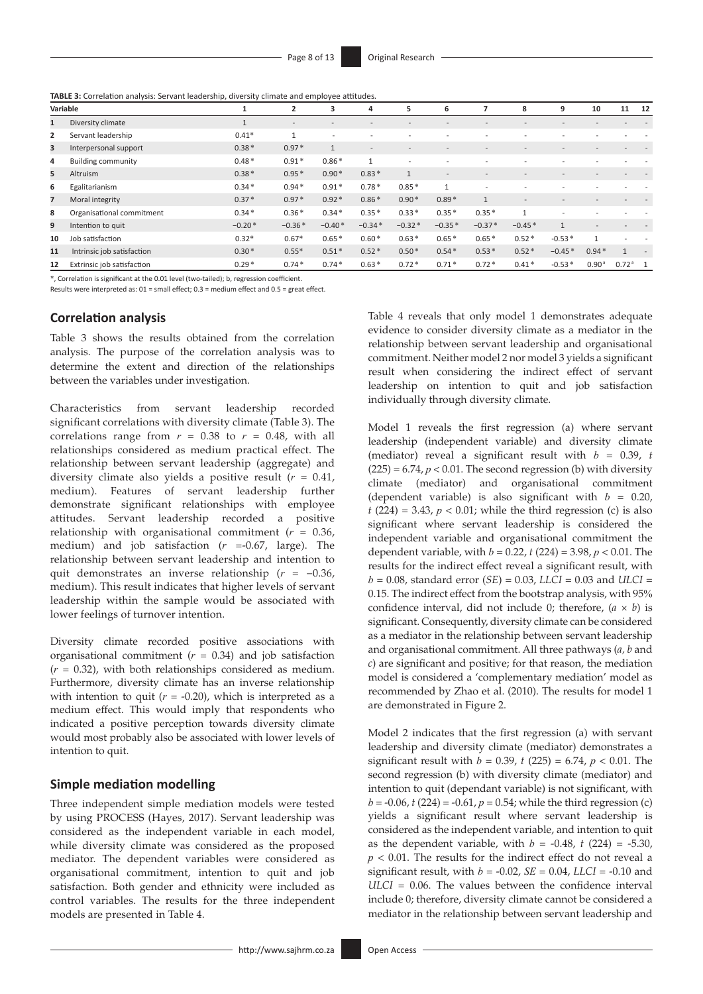| TABLE 3: Correlation analysis: Servant leadership, diversity climate and employee attitudes. |  |
|----------------------------------------------------------------------------------------------|--|
|----------------------------------------------------------------------------------------------|--|

| Variable       |                            |              | $\overline{2}$           | 3                        | 4                        | 5                        | 6                        |                          | 8                        | 9            | 10                       | 11                       | 12 |
|----------------|----------------------------|--------------|--------------------------|--------------------------|--------------------------|--------------------------|--------------------------|--------------------------|--------------------------|--------------|--------------------------|--------------------------|----|
| $\mathbf{1}$   | Diversity climate          | $\mathbf{1}$ | $\overline{\phantom{a}}$ |                          |                          |                          |                          |                          |                          |              |                          |                          |    |
| $\mathbf{2}$   | Servant leadership         | $0.41*$      | $\mathbf{1}$             | $\overline{\phantom{a}}$ |                          | $\overline{\phantom{0}}$ | $\overline{\phantom{0}}$ | $\overline{\phantom{0}}$ |                          |              |                          |                          |    |
| 3              | Interpersonal support      | $0.38*$      | $0.97*$                  | $\mathbf{1}$             | $\overline{\phantom{0}}$ | $\overline{\phantom{0}}$ | $\overline{\phantom{0}}$ | $\sim$                   | $\overline{\phantom{a}}$ |              | $\overline{\phantom{a}}$ |                          |    |
| 4              | <b>Building community</b>  | $0.48*$      | $0.91*$                  | $0.86*$                  |                          | $\overline{\phantom{a}}$ | $\overline{a}$           | $\overline{\phantom{a}}$ |                          |              |                          |                          |    |
| 5              | Altruism                   | $0.38*$      | $0.95*$                  | $0.90*$                  | $0.83*$                  | $\mathbf{1}$             | $\overline{a}$           |                          |                          |              |                          |                          |    |
| 6              | Egalitarianism             | $0.34*$      | $0.94*$                  | $0.91*$                  | $0.78*$                  | $0.85*$                  | $\mathbf{1}$             | $\overline{\phantom{0}}$ |                          |              | $\overline{\phantom{a}}$ |                          |    |
| $\overline{7}$ | Moral integrity            | $0.37*$      | $0.97*$                  | $0.92*$                  | $0.86*$                  | $0.90*$                  | $0.89*$                  | $\mathbf{1}$             | $\overline{\phantom{0}}$ |              | $\overline{\phantom{a}}$ | $\qquad \qquad$          |    |
| 8              | Organisational commitment  | $0.34*$      | $0.36*$                  | $0.34*$                  | $0.35*$                  | $0.33*$                  | $0.35*$                  | $0.35*$                  | $\overline{1}$           |              | ۰                        | $\overline{\phantom{0}}$ |    |
| 9              | Intention to quit          | $-0.20*$     | $-0.36*$                 | $-0.40*$                 | $-0.34*$                 | $-0.32*$                 | $-0.35*$                 | $-0.37*$                 | $-0.45*$                 | $\mathbf{1}$ |                          |                          |    |
| 10             | Job satisfaction           | $0.32*$      | $0.67*$                  | $0.65*$                  | $0.60*$                  | $0.63*$                  | $0.65*$                  | $0.65*$                  | $0.52*$                  | $-0.53*$     | $\mathbf{1}$             | $\overline{\phantom{a}}$ |    |
| 11             | Intrinsic job satisfaction | $0.30*$      | $0.55*$                  | $0.51*$                  | $0.52*$                  | $0.50*$                  | $0.54*$                  | $0.53*$                  | $0.52*$                  | $-0.45*$     | $0.94*$                  | $\mathbf{1}$             |    |
| 12             | Extrinsic job satisfaction | $0.29*$      | $0.74*$                  | $0.74*$                  | $0.63*$                  | $0.72*$                  | $0.71*$                  | $0.72*$                  | $0.41*$                  | $-0.53*$     | 0.90a                    | $0.72$ <sup>a</sup> 1    |    |

\*, Correlation is significant at the 0.01 level (two-tailed); b, regression coefficient.

Results were interpreted as: 01 = small effect; 0.3 = medium effect and 0.5 = great effect.

#### **Correlation analysis**

Table 3 shows the results obtained from the correlation analysis. The purpose of the correlation analysis was to determine the extent and direction of the relationships between the variables under investigation.

Characteristics from servant leadership recorded significant correlations with diversity climate (Table 3). The correlations range from  $r = 0.38$  to  $r = 0.48$ , with all relationships considered as medium practical effect. The relationship between servant leadership (aggregate) and diversity climate also yields a positive result (*r* = 0.41, medium). Features of servant leadership further demonstrate significant relationships with employee attitudes. Servant leadership recorded a positive relationship with organisational commitment (*r* = 0.36, medium) and job satisfaction (*r* =-0.67, large). The relationship between servant leadership and intention to quit demonstrates an inverse relationship (*r* = −0.36, medium). This result indicates that higher levels of servant leadership within the sample would be associated with lower feelings of turnover intention.

Diversity climate recorded positive associations with organisational commitment  $(r = 0.34)$  and job satisfaction  $(r = 0.32)$ , with both relationships considered as medium. Furthermore, diversity climate has an inverse relationship with intention to quit  $(r = -0.20)$ , which is interpreted as a medium effect. This would imply that respondents who indicated a positive perception towards diversity climate would most probably also be associated with lower levels of intention to quit.

#### **Simple mediation modelling**

Three independent simple mediation models were tested by using PROCESS (Hayes, 2017). Servant leadership was considered as the independent variable in each model, while diversity climate was considered as the proposed mediator. The dependent variables were considered as organisational commitment, intention to quit and job satisfaction. Both gender and ethnicity were included as control variables. The results for the three independent models are presented in Table 4.

Table 4 reveals that only model 1 demonstrates adequate evidence to consider diversity climate as a mediator in the relationship between servant leadership and organisational commitment. Neither model 2 nor model 3 yields a significant result when considering the indirect effect of servant leadership on intention to quit and job satisfaction individually through diversity climate.

Model 1 reveals the first regression (a) where servant leadership (independent variable) and diversity climate (mediator) reveal a significant result with *b* = 0.39, *t*   $(225) = 6.74$ ,  $p < 0.01$ . The second regression (b) with diversity climate (mediator) and organisational commitment (dependent variable) is also significant with  $b = 0.20$ ,  $t(224) = 3.43$ ,  $p < 0.01$ ; while the third regression (c) is also significant where servant leadership is considered the independent variable and organisational commitment the dependent variable, with *b* = 0.22, *t* (224) = 3.98, *p* < 0.01. The results for the indirect effect reveal a significant result, with  $b = 0.08$ , standard error (*SE*) = 0.03, *LLCI* = 0.03 and *ULCI* = 0.15. The indirect effect from the bootstrap analysis, with 95% confidence interval, did not include 0; therefore, (*a × b*) is significant. Consequently, diversity climate can be considered as a mediator in the relationship between servant leadership and organisational commitment. All three pathways (*a, b* and *c*) are significant and positive; for that reason, the mediation model is considered a 'complementary mediation' model as recommended by Zhao et al. (2010). The results for model 1 are demonstrated in Figure 2.

Model 2 indicates that the first regression (a) with servant leadership and diversity climate (mediator) demonstrates a significant result with *b* = 0.39, *t* (225) = 6.74, *p* < 0.01. The second regression (b) with diversity climate (mediator) and intention to quit (dependant variable) is not significant, with  $b = -0.06$ ,  $t(224) = -0.61$ ,  $p = 0.54$ ; while the third regression (c) yields a significant result where servant leadership is considered as the independent variable, and intention to quit as the dependent variable, with  $b = -0.48$ ,  $t (224) = -5.30$ , *p* < 0.01. The results for the indirect effect do not reveal a significant result, with  $b = -0.02$ ,  $SE = 0.04$ , *LLCI* = -0.10 and *ULCI* = 0.06. The values between the confidence interval include 0; therefore, diversity climate cannot be considered a mediator in the relationship between servant leadership and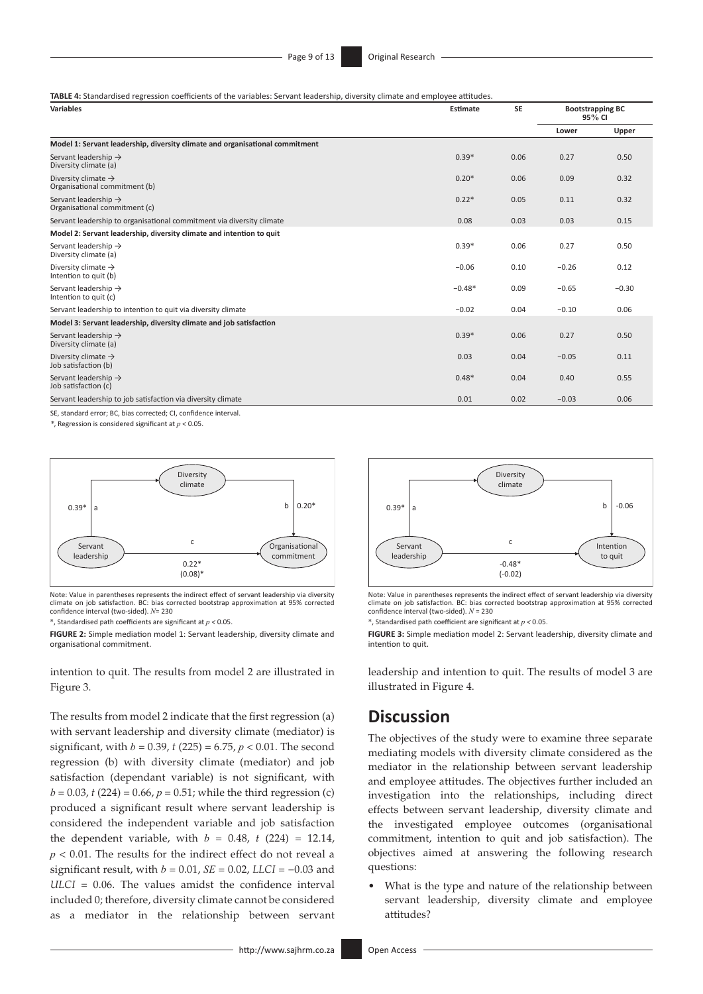**TABLE 4:** Standardised regression coefficients of the variables: Servant leadership, diversity climate and employee attitudes.

| <b>Variables</b>                                                             | Estimate | SE   | <b>Bootstrapping BC</b><br>$95\%$ CI |         |
|------------------------------------------------------------------------------|----------|------|--------------------------------------|---------|
|                                                                              |          |      | Lower                                | Upper   |
| Model 1: Servant leadership, diversity climate and organisational commitment |          |      |                                      |         |
| Servant leadership $\rightarrow$<br>Diversity climate (a)                    | $0.39*$  | 0.06 | 0.27                                 | 0.50    |
| Diversity climate $\rightarrow$<br>Organisational commitment (b)             | $0.20*$  | 0.06 | 0.09                                 | 0.32    |
| Servant leadership $\rightarrow$<br>Organisational commitment (c)            | $0.22*$  | 0.05 | 0.11                                 | 0.32    |
| Servant leadership to organisational commitment via diversity climate        | 0.08     | 0.03 | 0.03                                 | 0.15    |
| Model 2: Servant leadership, diversity climate and intention to quit         |          |      |                                      |         |
| Servant leadership $\rightarrow$<br>Diversity climate (a)                    | $0.39*$  | 0.06 | 0.27                                 | 0.50    |
| Diversity climate $\rightarrow$<br>Intention to quit (b)                     | $-0.06$  | 0.10 | $-0.26$                              | 0.12    |
| Servant leadership $\rightarrow$<br>Intention to quit (c)                    | $-0.48*$ | 0.09 | $-0.65$                              | $-0.30$ |
| Servant leadership to intention to quit via diversity climate                | $-0.02$  | 0.04 | $-0.10$                              | 0.06    |
| Model 3: Servant leadership, diversity climate and job satisfaction          |          |      |                                      |         |
| Servant leadership $\rightarrow$<br>Diversity climate (a)                    | $0.39*$  | 0.06 | 0.27                                 | 0.50    |
| Diversity climate $\rightarrow$<br>Job satisfaction (b)                      | 0.03     | 0.04 | $-0.05$                              | 0.11    |
| Servant leadership $\rightarrow$<br>Job satisfaction (c)                     | $0.48*$  | 0.04 | 0.40                                 | 0.55    |
| Servant leadership to job satisfaction via diversity climate                 | 0.01     | 0.02 | $-0.03$                              | 0.06    |

SE, standard error; BC, bias corrected; CI, confidence interval.

*\**, Regression is considered significant at *p* < 0.05.



Note: Value in parentheses represents the indirect effect of servant leadership via diversity climate on job satisfaction. BC: bias corrected bootstrap approximation at 95% corrected confidence interval (two-sided). *N*= 230

\*, Standardised path coefficients are significant at *p <* 0.05.

**FIGURE 2:** Simple mediation model 1: Servant leadership, diversity climate and organisational commitment.

intention to quit. The results from model 2 are illustrated in Figure 3.

The results from model 2 indicate that the first regression (a) with servant leadership and diversity climate (mediator) is significant, with *b* = 0.39, *t* (225) = 6.75, *p* < 0.01. The second regression (b) with diversity climate (mediator) and job satisfaction (dependant variable) is not significant, with  $b = 0.03$ ,  $t$  (224) = 0.66,  $p = 0.51$ ; while the third regression (c) produced a significant result where servant leadership is considered the independent variable and job satisfaction the dependent variable, with  $b = 0.48$ ,  $t$  (224) = 12.14, *p* < 0.01. The results for the indirect effect do not reveal a significant result, with *b* = 0.01, *SE* = 0.02, *LLCI* = −0.03 and *ULCI* = 0.06. The values amidst the confidence interval included 0; therefore, diversity climate cannot be considered as a mediator in the relationship between servant



Note: Value in parentheses represents the indirect effect of servant leadership via diversity climate on job satisfaction. BC: bias corrected bootstrap approximation at 95% corrected confidence interval (two-sided). *N* = 230

\*, Standardised path coefficient are significant at *p <* 0.05.

**FIGURE 3:** Simple mediation model 2: Servant leadership, diversity climate and intention to quit.

leadership and intention to quit. The results of model 3 are illustrated in Figure 4.

# **Discussion**

The objectives of the study were to examine three separate mediating models with diversity climate considered as the mediator in the relationship between servant leadership and employee attitudes. The objectives further included an investigation into the relationships, including direct effects between servant leadership, diversity climate and the investigated employee outcomes (organisational commitment, intention to quit and job satisfaction). The objectives aimed at answering the following research questions:

• What is the type and nature of the relationship between servant leadership, diversity climate and employee attitudes?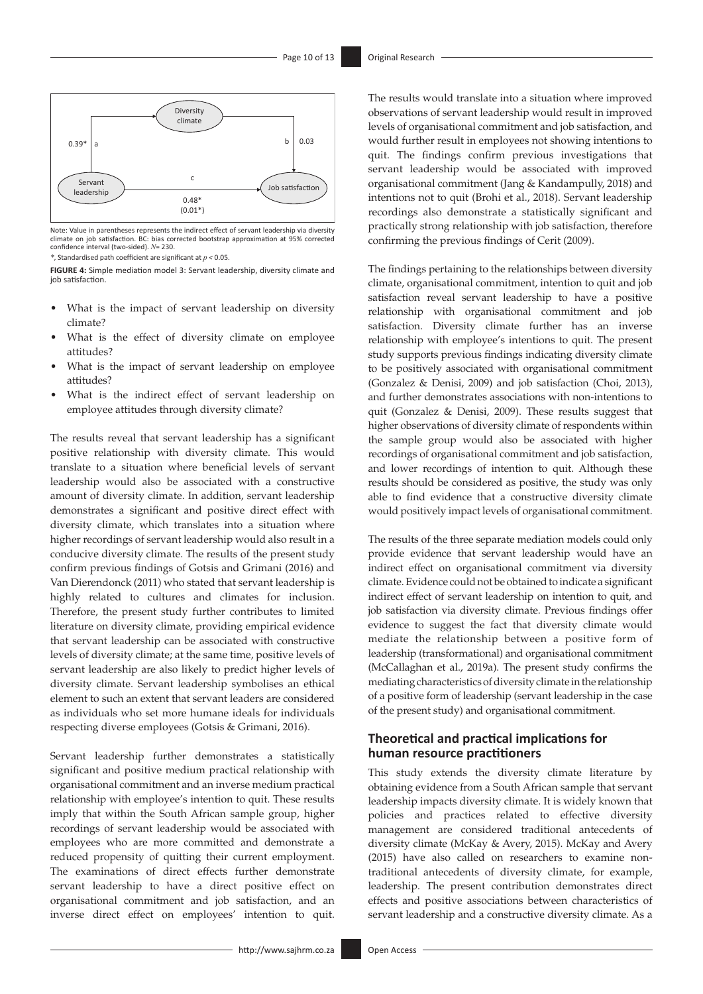

Note: Value in parentheses represents the indirect effect of servant leadership via diversity climate on job satisfaction. BC: bias corrected bootstrap approximation at 95% corrected confidence interval (two-sided). *N*= 230.

*\**, Standardised path coefficient are significant at *p <* 0.05.

**FIGURE 4:** Simple mediation model 3: Servant leadership, diversity climate and job satisfaction

- What is the impact of servant leadership on diversity climate?
- What is the effect of diversity climate on employee attitudes?
- What is the impact of servant leadership on employee attitudes?
- What is the indirect effect of servant leadership on employee attitudes through diversity climate?

The results reveal that servant leadership has a significant positive relationship with diversity climate. This would translate to a situation where beneficial levels of servant leadership would also be associated with a constructive amount of diversity climate. In addition, servant leadership demonstrates a significant and positive direct effect with diversity climate, which translates into a situation where higher recordings of servant leadership would also result in a conducive diversity climate. The results of the present study confirm previous findings of Gotsis and Grimani (2016) and Van Dierendonck (2011) who stated that servant leadership is highly related to cultures and climates for inclusion. Therefore, the present study further contributes to limited literature on diversity climate, providing empirical evidence that servant leadership can be associated with constructive levels of diversity climate; at the same time, positive levels of servant leadership are also likely to predict higher levels of diversity climate. Servant leadership symbolises an ethical element to such an extent that servant leaders are considered as individuals who set more humane ideals for individuals respecting diverse employees (Gotsis & Grimani, 2016).

Servant leadership further demonstrates a statistically significant and positive medium practical relationship with organisational commitment and an inverse medium practical relationship with employee's intention to quit. These results imply that within the South African sample group, higher recordings of servant leadership would be associated with employees who are more committed and demonstrate a reduced propensity of quitting their current employment. The examinations of direct effects further demonstrate servant leadership to have a direct positive effect on organisational commitment and job satisfaction, and an inverse direct effect on employees' intention to quit.

The results would translate into a situation where improved observations of servant leadership would result in improved levels of organisational commitment and job satisfaction, and would further result in employees not showing intentions to quit. The findings confirm previous investigations that servant leadership would be associated with improved organisational commitment (Jang & Kandampully, 2018) and intentions not to quit (Brohi et al., 2018). Servant leadership recordings also demonstrate a statistically significant and practically strong relationship with job satisfaction, therefore confirming the previous findings of Cerit (2009).

The findings pertaining to the relationships between diversity climate, organisational commitment, intention to quit and job satisfaction reveal servant leadership to have a positive relationship with organisational commitment and job satisfaction. Diversity climate further has an inverse relationship with employee's intentions to quit. The present study supports previous findings indicating diversity climate to be positively associated with organisational commitment (Gonzalez & Denisi, 2009) and job satisfaction (Choi, 2013), and further demonstrates associations with non-intentions to quit (Gonzalez & Denisi, 2009). These results suggest that higher observations of diversity climate of respondents within the sample group would also be associated with higher recordings of organisational commitment and job satisfaction, and lower recordings of intention to quit. Although these results should be considered as positive, the study was only able to find evidence that a constructive diversity climate would positively impact levels of organisational commitment.

The results of the three separate mediation models could only provide evidence that servant leadership would have an indirect effect on organisational commitment via diversity climate. Evidence could not be obtained to indicate a significant indirect effect of servant leadership on intention to quit, and job satisfaction via diversity climate. Previous findings offer evidence to suggest the fact that diversity climate would mediate the relationship between a positive form of leadership (transformational) and organisational commitment (McCallaghan et al., 2019a). The present study confirms the mediating characteristics of diversity climate in the relationship of a positive form of leadership (servant leadership in the case of the present study) and organisational commitment.

#### **Theoretical and practical implications for human resource practitioners**

This study extends the diversity climate literature by obtaining evidence from a South African sample that servant leadership impacts diversity climate. It is widely known that policies and practices related to effective diversity management are considered traditional antecedents of diversity climate (McKay & Avery, 2015). McKay and Avery (2015) have also called on researchers to examine nontraditional antecedents of diversity climate, for example, leadership. The present contribution demonstrates direct effects and positive associations between characteristics of servant leadership and a constructive diversity climate. As a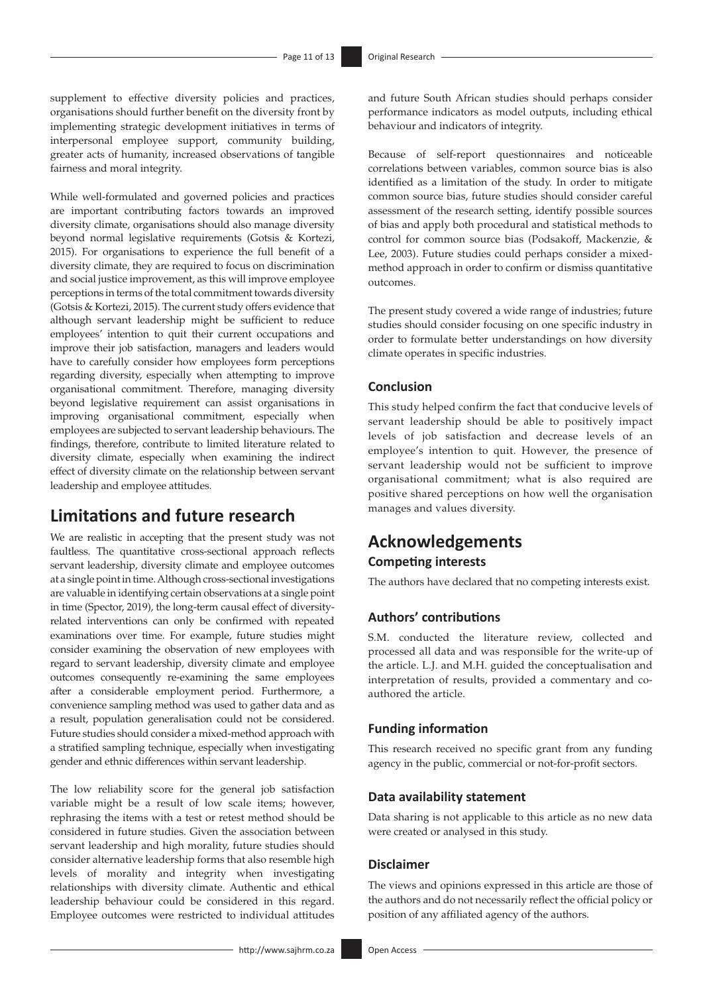supplement to effective diversity policies and practices, organisations should further benefit on the diversity front by implementing strategic development initiatives in terms of interpersonal employee support, community building, greater acts of humanity, increased observations of tangible fairness and moral integrity.

While well-formulated and governed policies and practices are important contributing factors towards an improved diversity climate, organisations should also manage diversity beyond normal legislative requirements (Gotsis & Kortezi, 2015). For organisations to experience the full benefit of a diversity climate, they are required to focus on discrimination and social justice improvement, as this will improve employee perceptions in terms of the total commitment towards diversity (Gotsis & Kortezi, 2015). The current study offers evidence that although servant leadership might be sufficient to reduce employees' intention to quit their current occupations and improve their job satisfaction, managers and leaders would have to carefully consider how employees form perceptions regarding diversity, especially when attempting to improve organisational commitment. Therefore, managing diversity beyond legislative requirement can assist organisations in improving organisational commitment, especially when employees are subjected to servant leadership behaviours. The findings, therefore, contribute to limited literature related to diversity climate, especially when examining the indirect effect of diversity climate on the relationship between servant leadership and employee attitudes.

# **Limitations and future research**

We are realistic in accepting that the present study was not faultless. The quantitative cross-sectional approach reflects servant leadership, diversity climate and employee outcomes at a single point in time. Although cross-sectional investigations are valuable in identifying certain observations at a single point in time (Spector, 2019), the long-term causal effect of diversityrelated interventions can only be confirmed with repeated examinations over time. For example, future studies might consider examining the observation of new employees with regard to servant leadership, diversity climate and employee outcomes consequently re-examining the same employees after a considerable employment period. Furthermore, a convenience sampling method was used to gather data and as a result, population generalisation could not be considered. Future studies should consider a mixed-method approach with a stratified sampling technique, especially when investigating gender and ethnic differences within servant leadership.

The low reliability score for the general job satisfaction variable might be a result of low scale items; however, rephrasing the items with a test or retest method should be considered in future studies. Given the association between servant leadership and high morality, future studies should consider alternative leadership forms that also resemble high levels of morality and integrity when investigating relationships with diversity climate. Authentic and ethical leadership behaviour could be considered in this regard. Employee outcomes were restricted to individual attitudes

and future South African studies should perhaps consider performance indicators as model outputs, including ethical behaviour and indicators of integrity.

Because of self-report questionnaires and noticeable correlations between variables, common source bias is also identified as a limitation of the study. In order to mitigate common source bias, future studies should consider careful assessment of the research setting, identify possible sources of bias and apply both procedural and statistical methods to control for common source bias (Podsakoff, Mackenzie, & Lee, 2003). Future studies could perhaps consider a mixedmethod approach in order to confirm or dismiss quantitative outcomes.

The present study covered a wide range of industries; future studies should consider focusing on one specific industry in order to formulate better understandings on how diversity climate operates in specific industries.

#### **Conclusion**

This study helped confirm the fact that conducive levels of servant leadership should be able to positively impact levels of job satisfaction and decrease levels of an employee's intention to quit. However, the presence of servant leadership would not be sufficient to improve organisational commitment; what is also required are positive shared perceptions on how well the organisation manages and values diversity.

# **Acknowledgements Competing interests**

The authors have declared that no competing interests exist.

### **Authors' contributions**

S.M. conducted the literature review, collected and processed all data and was responsible for the write-up of the article. L.J. and M.H. guided the conceptualisation and interpretation of results, provided a commentary and coauthored the article.

#### **Funding information**

This research received no specific grant from any funding agency in the public, commercial or not-for-profit sectors.

#### **Data availability statement**

Data sharing is not applicable to this article as no new data were created or analysed in this study.

#### **Disclaimer**

The views and opinions expressed in this article are those of the authors and do not necessarily reflect the official policy or position of any affiliated agency of the authors.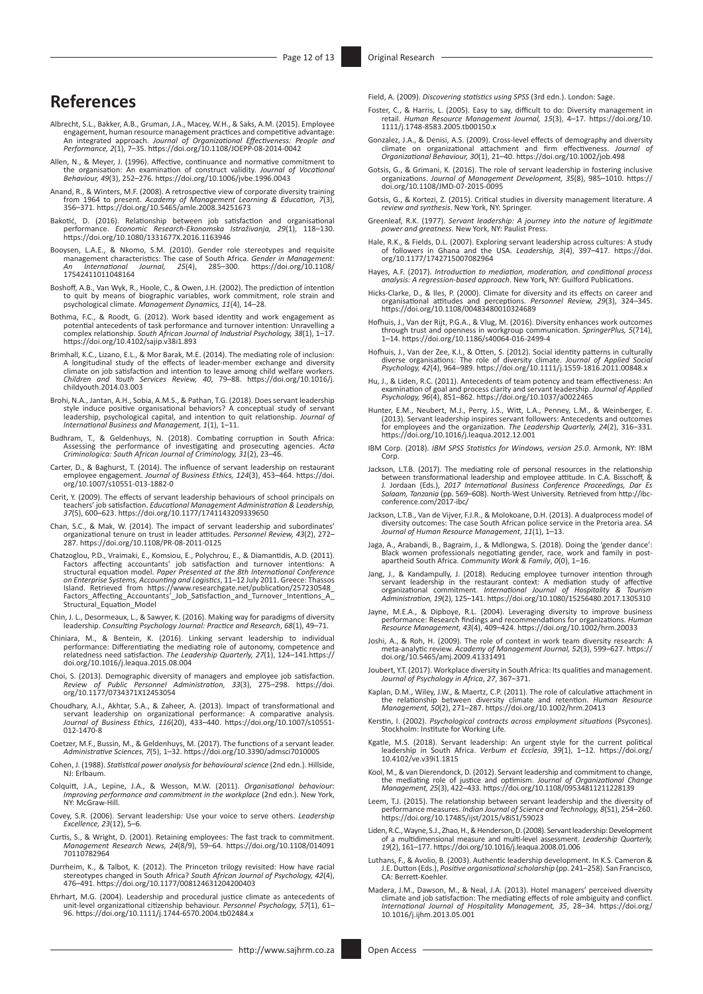# **References**

- Albrecht, S.L., Bakker, A.B., Gruman, J.A., Macey, W.H., & Saks, A.M. (2015). Employee engagement, human resource management practices and competitive advantage:<br>An integrated approach. Journal of Organizational Effectiven
- Allen, N., & Meyer, J. (1996). Affective, continuance and normative commitment to the organisation: An examination of construct validity. *Journal of Vocational Behaviour, 49*(3), 252–276. <https://doi.org/10.1006/jvbe.1996.0043>
- Anand, R., & Winters, M.F. (2008). A retrospective view of corporate diversity training from 1964 to present. *Academy of Management Learning & Education, 7*(3), 356–371. <https://doi.org/10.5465/amle.2008.34251673>
- Bakotić, D. (2016). Relationship between job satisfaction and organisational<br>performance. *Economic Research-Ekonomska Istraživanja, 29*(1), 118–130.<br><https://doi.org/10.1080/1331677X.2016.1163946>
- Booysen, L.A.E., & Nkomo, S.M. (2010). Gender role stereotypes and requisite<br>management characteristics: The case of South Africa. *Gender in Management:*<br>An *International Journal, 25*(4), 285–300. https://doi.org/10.1108 [17542411011048164](https://doi.org/10.1108/​17542411011048164)
- Boshoff, A.B., Van Wyk, R., Hoole, C., & Owen, J.H. (2002). The prediction of intention to quit by means of biographic variables, work commitment, role strain and psychological climate. *Management Dynamics, 11*(4), 14–28.
- Bothma, F.C., & Roodt, G. (2012). Work based identity and work engagement as potential antecedents of task performance and turnover intention: Unravelling a complex relationship. South African Journal of Industrial Psychol
- Brimhall, K.C., Lizano, E.L., & Mor Barak, M.E. (2014). The mediating role of inclusion: A longitudinal study of the effects of leader-member exchange and diversity climate on job satisfaction and intention to leave among child welfare workers. *Children and Youth Services Review, 40*, 79–88. [https://doi.org/10.1016/j.](https://doi.org/10.1016/j.childyouth.2014.03.003) [childyouth.2014.03.003](https://doi.org/10.1016/j.childyouth.2014.03.003)
- Brohi, N.A., Jantan, A.H., Sobia, A.M.S., & Pathan, T.G. (2018). Does servant leadership<br>style induce positive organisational behaviors? A conceptual study of servant<br>leadership, psychological capital, and intention to qui
- Budhram, T., & Geldenhuys, N. (2018). Combating corruption in South Africa:<br>Assessing the performance of investigating and prosecuting agencies. Acta<br>Criminologica: South African Journal of Criminology, 31(2), 23-46.
- Carter, D., & Baghurst, T. (2014). The influence of servant leadership on restaurant employee engagement. *Journal of Business Ethics, 124*(3), 453–464. [https://doi.](https://doi.org/10.1007/s10551-013-1882-0) [org/10.1007/s10551-013-1882-0](https://doi.org/10.1007/s10551-013-1882-0)
- Cerit, Y. (2009). The effects of servant leadership behaviours of school principals on teachers' job satisfaction. *Educational Management Administration & Leadership, 37*(5), 600–623.<https://doi.org/10.1177/1741143209339650>
- Chan, S.C., & Mak, W. (2014). The impact of servant leadership and subordinates' organizational tenure on trust in leader attitudes. *Personnel Review, 43*(2), 272– 287. <https://doi.org/10.1108/PR-08-2011-0125>
- Chatzoglou, P.D., Vraimaki, E., Komsiou, E., Polychrou, E., & Diamantidis, A.D. (2011).<br>Factors affecting accountants' job satisfaction and turnover intentions: A<br>structural equation model. Paper Presented at the 8th Inter Island. Retrieved from [https://www.researchgate.net/publication/257230548\\_](https://www.researchgate.net/publication/257230548_Factors_Affecting_Accountants’_Job_Satisfaction_a) [Factors\\_Affecting\\_Accountants'\\_Job\\_Satisfaction\\_and\\_Turnover\\_Intentions\\_A\\_](https://www.researchgate.net/publication/257230548_Factors_Affecting_Accountants’_Job_Satisfaction_a) [Structural\\_Equation\\_Model](https://www.researchgate.net/publication/257230548_Factors_Affecting_Accountants’_Job_Satisfaction_a)
- Chin, J. L., Desormeaux, L., & Sawyer, K. (2016). Making way for paradigms of diversity leadership. *Consulting Psychology Journal: Practice and Research*, *68*(1), 49–71.
- Chiniara, M., & Bentein, K. (2016). Linking servant leadership to individual performance: Differentiating the mediating role of autonomy, competence and relatedness need satisfaction. *The Leadership Quarterly, 27*(1), 124
- Choi, S. (2013). Demographic diversity of managers and employee job satisfaction. *Review of Public Personnel Administration, 33*(3), 275–298. [https://doi.](https://doi.org/10.1177/0734371X12453054) [org/10.1177/0734371X12453054](https://doi.org/10.1177/0734371X12453054)
- Choudhary, A.I., Akhtar, S.A., & Zaheer, A. (2013). Impact of transformational and<br>servant leadership on organizational performance: A comparative analysis.<br>Journal of Business Ethics, 116(20), 433–440. https://doi.org/10. [012-1470-8](https://doi.org/10.1007/s10551-012-1470-8)
- Coetzer, M.F., Bussin, M., & Geldenhuys, M. (2017). The functions of a servant leader. *Administrative Sciences, 7*(5), 1–32. <https://doi.org/10.3390/admsci7010005>
- Cohen, J. (1988). *Statistical power analysis for behavioural science* (2nd edn.). Hillside, NJ: Erlbaum.
- Colquitt, J.A., Lepine, J.A., & Wesson, M.W. (2011). *Organisational behaviour: Improving performance and commitment in the workplace* (2nd edn.). New York, NY: McGraw-Hill.
- Covey, S.R. (2006). Servant leadership: Use your voice to serve others. *Leadership Excellence, 23*(12), 5–6.
- Curtis, S., & Wright, D. (2001). Retaining employees: The fast track to commitment. *Management Research News, 24*(8/9), 59–64. [https://doi.org/10.1108/014091](https://doi.org/10.1108/014091​70110782964) [70110782964](https://doi.org/10.1108/014091​70110782964)
- Durrheim, K., & Talbot, K. (2012). The Princeton trilogy revisited: How have racial<br>stereotypes changed in South Africa? South African Journal of Psychology, 42(4),<br>476–491. <https://doi.org/10.1177/008124631204200403>
- Ehrhart, M.G. (2004). Leadership and procedural justice climate as antecedents of unit-level organizational citizenship behaviour. *Personnel Psychology, 57*(1), 61– 96.<https://doi.org/10.1111/j.1744-6570.2004.tb02484.x>

Field, A. (2009). *Discovering statistics using SPSS* (3rd edn.). London: Sage.

- Foster, C., & Harris, L. (2005). Easy to say, difficult to do: Diversity management in retail. *Human Resource Management Journal, 15*(3), 4–17. [https://doi.org/10.](https://doi.org/10.​1111/j.1748-8583.2005.tb00150.x) [1111/j.1748-8583.2005.tb00150.x](https://doi.org/10.​1111/j.1748-8583.2005.tb00150.x)
- Gonzalez, J.A., & Denisi, A.S. (2009). Cross-level effects of demography and diversity<br>climate on organizational attachment and firm effectiveness. Journal of<br>Organizational Behaviour, 30(1), 21–40. https://doi.org/10.1002
- Gotsis, G., & Grimani, K. (2016). The role of servant leadership in fostering inclusive organizations. *Journal of Management Development, 35*(8), 985–1010. [https://](https://doi.org/10.1108/JMD-07-2015-0095) [doi.org/10.1108/JMD-07-2015-0095](https://doi.org/10.1108/JMD-07-2015-0095)
- Gotsis, G., & Kortezi, Z. (2015). Critical studies in diversity management literature. *A review and synthesis*. New York, NY: Springer.
- Greenleaf, R.K. (1977). *Servant leadership: A journey into the nature of legitimate power and greatness*. New York, NY: Paulist Press.
- Hale, R.K., & Fields, D.L. (2007). Exploring servant leadership across cultures: A study of followers in Ghana and the USA. *Leadership, 3*(4), 397–417. [https://doi.](https://doi.org/10.1177/1742715007082964) [org/10.1177/1742715007082964](https://doi.org/10.1177/1742715007082964)
- Hayes, A.F. (2017). *Introduction to mediation, moderation, and conditional process analysis: A regression-based approach*. New York, NY: Guilford Publications.
- Hicks-Clarke, D., & Iles, P. (2000). Climate for diversity and its effects on career and organisational attitudes and perceptions. *Personnel Review, 29*(3), 324–345. <https://doi.org/10.1108/00483480010324689>
- Hofhuis, J., Van der Rijt, P.G.A., & Vlug, M. (2016). Diversity enhances work outcomes through trust and openness in workgroup communication. *SpringerPlus, 5*(714), 1–14. <https://doi.org/10.1186/s40064-016-2499-4>
- Hofhuis, J., Van der Zee, K.I., & Otten, S. (2012). Social identity patterns in culturally<br>diverse organisations: The role of diversity climate. Journal of Applied Social<br>Psychology, 42(4), 964–989. https://doi.org/10.1111
- Hu, J., & Liden, R.C. (2011). Antecedents of team potency and team effectiveness: An examination of goal and process clarity and servant leadership. *Journal of Applied Psychology, 96*(4), 851–862. <https://doi.org/10.1037/a0022465>
- Hunter, E.M., Neubert, M.J., Perry, J.S., Witt, L.A., Penney, L.M., & Weinberger, E.<br>(2013). Servant leadership inspires servant followers: Antecedents and outcomes<br>for employees and the organization. *The Leadership Quart* <https://doi.org/10.1016/j.leaqua.2012.12.001>
- IBM Corp. (2018). *IBM SPSS Statistics for Windows, version 25.0*. Armonk, NY: IBM Corp.
- Jackson, L.T.B. (2017). The mediating role of personal resources in the relationship<br>between transformational leadership and employee attitude. In C.A. Bisschoff, &<br>J. Jordaan (Eds.), 2017 International Business Conference
- Jackson, L.T.B., Van de Vijver, F.J.R., & Molokoane, D.H. (2013). A dualprocess model of diversity outcomes: The case South African police service in the Pretoria area. *SA Journal of Human Resource Management*, *11*(1), 1–13.
- Jaga, A., Arabandi, B., Bagraim, J., & Mdlongwa, S. (2018). Doing the 'gender dance': Black women professionals negotiating gender, race, work and family in post-apartheid South Africa. *Community Work & Family*, *0*(0), 1–16.
- Jang, J., & Kandampully, J. (2018). Reducing employee turnover intention through servant leadership in the restaurant context: A mediation study of affective organizational commitment. *International Journal of Hospitality*
- Jayne, M.E.A., & Dipboye, R.L. (2004). Leveraging diversity to improve business<br>performance: Research findings and recommendations for organizations<br>Resource Management, 43(4), 409-424.<https://doi.org/10.1002/hrm.20033>
- Joshi, A., & Roh, H. (2009). The role of context in work team diversity research: A meta-analytic review. *Academy of Management Journal, 52*(3), 599–627. [https://](https://doi.org/10.5465/amj.2009.41331491) [doi.org/10.5465/amj.2009.41331491](https://doi.org/10.5465/amj.2009.41331491)
- Joubert, Y.T. (2017). Workplace diversity in South Africa: Its qualities and management. *Journal of Psychology in Africa*, *27*, 367–371.
- Kaplan, D.M., Wiley, J.W., & Maertz, C.P. (2011). The role of calculative attachment in the relationship between diversity climate and retention. *Human Resource Management, 50*(2), 271–287.<https://doi.org/10.1002/hrm.20413>
- Kerstin, I. (2002). *Psychological contracts across employment situations* (Psycones). Stockholm: Institute for Working Life.
- Kgatle, M.S. (2018). Servant leadership: An urgent style for the current political leadership in South Africa. *Verbum et Ecclesia, 39*(1), 1–12. [https://doi.org/](https://doi.org/10.4102/ve.v39i1.1815) [10.4102/ve.v39i1.1815](https://doi.org/10.4102/ve.v39i1.1815)
- Kool, M., & van Dierendonck, D. (2012). Servant leadership and commitment to change, the mediating role of justice and optimism. *Journal of Organizational Change Management, 25*(3), 422–433. [https://doi.org/10.1108/09534811211228139](https://doi.org/10.1108/09534811​211228139)
- Leem, T.J. (2015). The relationship between servant leadership and the diversity of performance measures. *Indian Journal of Science and Technology, 8*(S1), 254–260. <https://doi.org/10.17485/ijst/2015/v8iS1/59023>
- Liden, R.C., Wayne, S.J., Zhao, H., & Henderson, D. (2008). Servant leadership: Development of a multidimensional measure and multi-level assessment. *Leadership Quarterly, 19*(2), 161–177. [https://doi.org/10.1016/j.leaqua.2008.01.006](https://doi.org/10.1016/j.leaqua.2008.​01.006)
- Luthans, F., & Avolio, B. (2003). Authentic leadership development. In K.S. Cameron & J.E. Dutton (Eds.), *Positive organisational scholarship* (pp. 241–258). San Francisco, CA: Berrett-Koehler.
- Madera, J.M., Dawson, M., & Neal, J.A. (2013). Hotel managers' perceived diversity<br>climate and job satisfaction: The mediating effects of role ambiguity and conflict.<br>International Journal of Hospitality Management, 35, 28